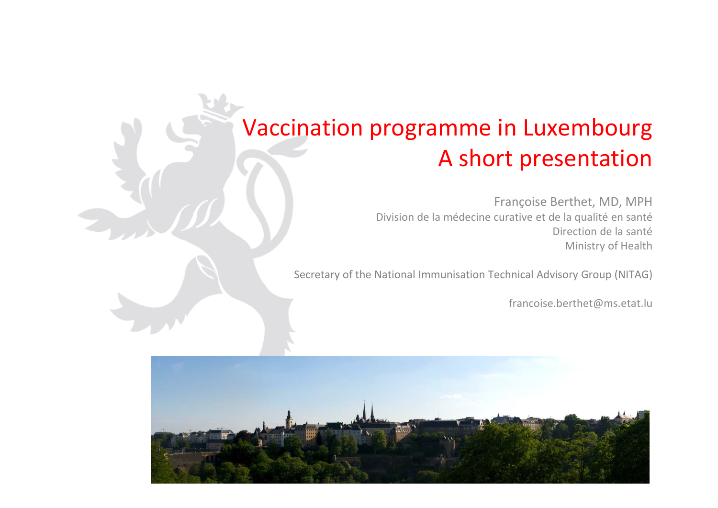## Vaccination programme in Luxembourg A short presentation

Françoise Berthet, MD, MPH Division de la médecine curative et de la qualité en santé Direction de la santé Ministry of Health

Secretary of the National Immunisation Technical Advisory Group (NITAG)

francoise.berthet@ms.etat.lu

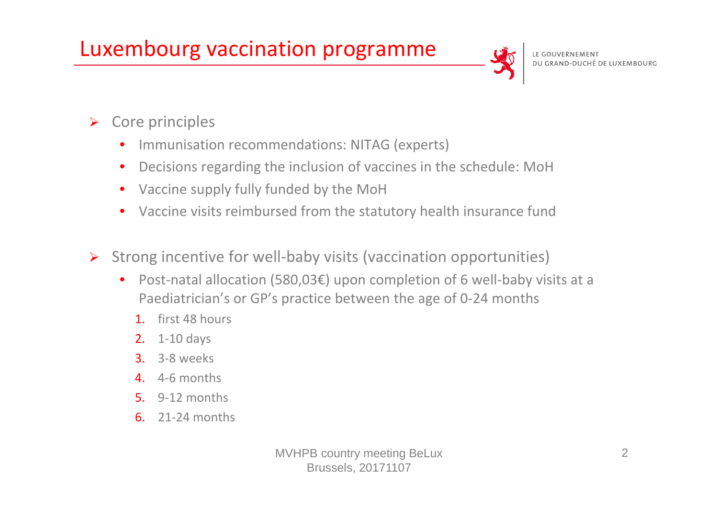### Luxembourg vaccination programme



- $\blacktriangleright$  Core principles
	- •**•** Immunisation recommendations: NITAG (experts)
	- $\bullet$ Decisions regarding the inclusion of vaccines in the schedule: MoH
	- $\bullet$ Vaccine supply fully funded by the MoH
	- $\bullet$ Vaccine visits reimbursed from the statutory health insurance fund
- $\blacktriangleright$  Strong incentive for well‐baby visits (vaccination opportunities)
	- $\bullet$  Post‐natal allocation (580,03€) upon completion of 6 well‐baby visits at <sup>a</sup> Paediatrician's or GP's practice between the age of 0‐24 months
		- 1. first 48 hours
		- **2.** 1-10 days
		- **3.** 3-8 weeks
		- 4. 4‐6 months
		- 5. 9‐12 months
		- 6. 21‐24 months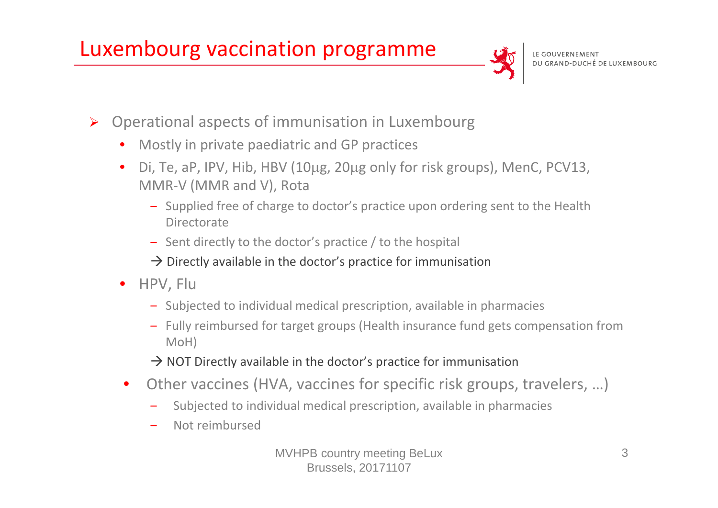### Luxembourg vaccination programme



- $\blacktriangleright$  Operational aspects of immunisation in Luxembourg
	- •Mostly in private paediatric and GP practices
	- •Di, Te, aP, IPV, Hib, HBV (10µg, 20µg only for risk groups), MenC, PCV13, MMR‐V (MMR and V), Rota
		- ‒ Supplied free of charge to doctor's practice upon ordering sent to the Health Directorate
		- ‒ Sent directly to the doctor's practice / to the hospital
		- $\rightarrow$  Directly available in the doctor's practice for immunisation
	- HPV, Flu
		- ‒ Subjected to individual medical prescription, available in pharmacies
		- ‒ Fully reimbursed for target groups (Health insurance fund gets compensation from MoH)
		- $\rightarrow$  NOT Directly available in the doctor's practice for immunisation
	- • Other vaccines (HVA, vaccines for specific risk groups, travelers, …)
		- Subjected to individual medical prescription, available in pharmacies
		- Not reimbursed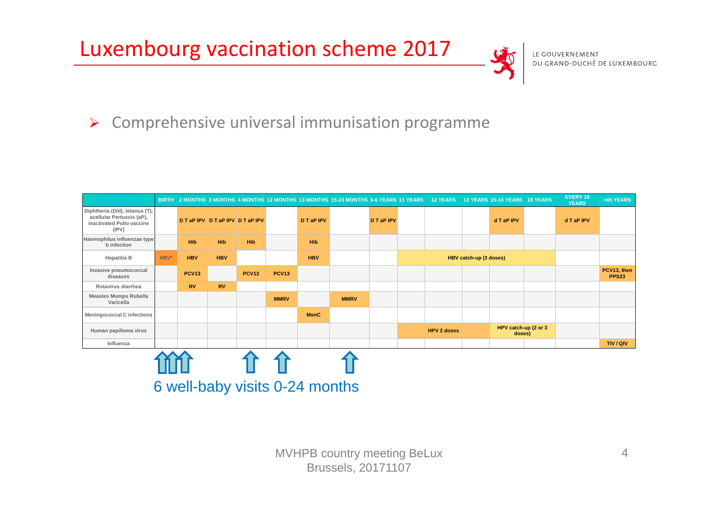### Luxembourg vaccination scheme 2017



#### $\triangleright$  Comprehensive universal immunisation programme

|                                                                                                   |      |              |                                |              |              |             | BIRTH 2 MONTHS 3 MONTHS 4 MONTHS 12 MONTHS 13 MONTHS 15-23 MONTHS 5-6 YEARS 11 YEARS 12 YEARS 13 YEARS 15-16 YEARS 18 YEARS |                   |  |                        |  |                                |  | EVERY 10<br><b>YEARS</b> | >65 YEARS                   |
|---------------------------------------------------------------------------------------------------|------|--------------|--------------------------------|--------------|--------------|-------------|-----------------------------------------------------------------------------------------------------------------------------|-------------------|--|------------------------|--|--------------------------------|--|--------------------------|-----------------------------|
| Diphtheria (D/d), tetanus (T),<br>acellular Pertussis (aP),<br>inactivated Polio vaccine<br>(IPV) |      |              | <b>DTaPIPV DTAPIPV DTAPIPV</b> |              |              | D T aP IPV  |                                                                                                                             | <b>D T aP IPV</b> |  |                        |  | d T aP IPV                     |  | d T aP IPV               |                             |
| Haemophilus influenzae type<br><b>b</b> infection                                                 |      | <b>Hib</b>   | <b>Hib</b>                     | <b>Hib</b>   |              | <b>Hib</b>  |                                                                                                                             |                   |  |                        |  |                                |  |                          |                             |
| <b>Hepatitis B</b>                                                                                | HBV* | <b>HBV</b>   | <b>HBV</b>                     |              |              | <b>HBV</b>  |                                                                                                                             |                   |  | HBV catch-up (3 doses) |  |                                |  |                          |                             |
| Invasive pneumococcal<br>diseases                                                                 |      | <b>PCV13</b> |                                | <b>PCV13</b> | <b>PCV13</b> |             |                                                                                                                             |                   |  |                        |  |                                |  |                          | PCV13, then<br><b>PPS23</b> |
| Rotavirus diarrhea                                                                                |      | <b>RV</b>    | <b>RV</b>                      |              |              |             |                                                                                                                             |                   |  |                        |  |                                |  |                          |                             |
| <b>Measles Mumps Rubella</b><br>Varicella                                                         |      |              |                                |              | <b>MMRV</b>  |             | <b>MMRV</b>                                                                                                                 |                   |  |                        |  |                                |  |                          |                             |
| <b>Meningococcal C infections</b>                                                                 |      |              |                                |              |              | <b>MenC</b> |                                                                                                                             |                   |  |                        |  |                                |  |                          |                             |
| Human papilloma virus                                                                             |      |              |                                |              |              |             |                                                                                                                             |                   |  | <b>HPV 2 doses</b>     |  | HPV catch-up (2 or 3<br>doses) |  |                          |                             |
| Influenza                                                                                         |      |              |                                |              |              |             |                                                                                                                             |                   |  |                        |  |                                |  |                          | TIV/QIV                     |
|                                                                                                   |      |              |                                |              |              |             |                                                                                                                             |                   |  |                        |  |                                |  |                          |                             |
| 6 well-baby visits 0-24 months                                                                    |      |              |                                |              |              |             |                                                                                                                             |                   |  |                        |  |                                |  |                          |                             |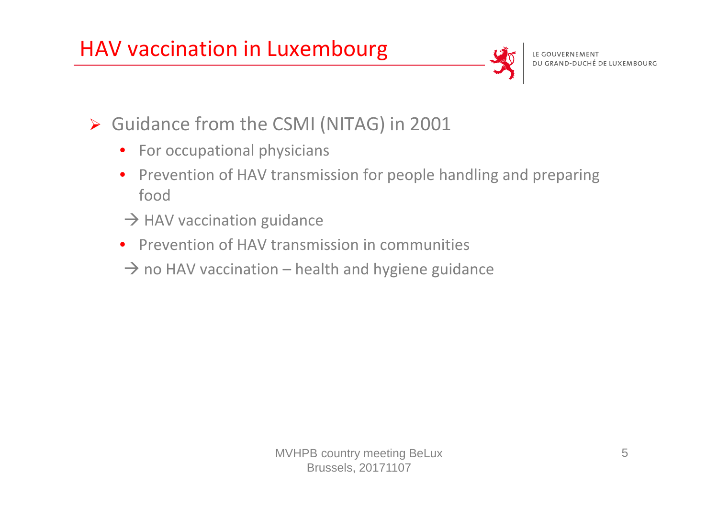

- Guidance from the CSMI (NITAG) in 2001
	- For occupational physicians
	- $\bullet$ • Prevention of HAV transmission for people handling and preparing food
	- $\rightarrow$  HAV vaccination guidance
	- $\bullet$ **•** Prevention of HAV transmission in communities
	- $\rightarrow$  no HAV vaccination health and hygiene guidance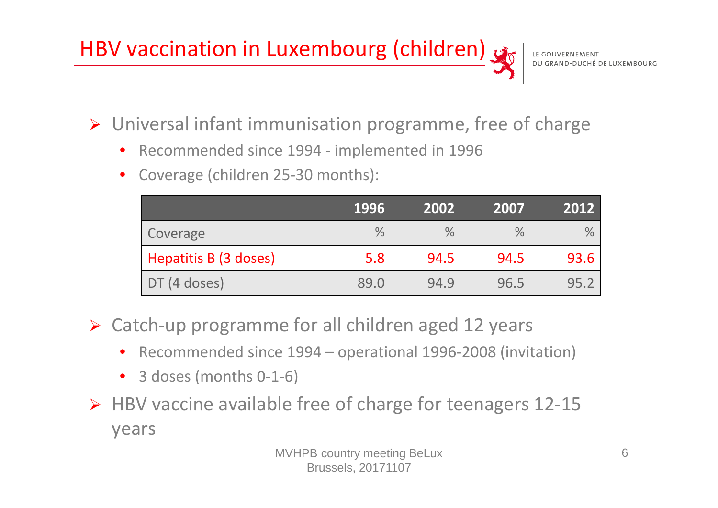# HBV vaccination in Luxembourg (children)

Universal infant immunisation programme, free of charge

- $\bullet$ Recommended since 1994 ‐ implemented in 1996
- $\bullet$ Coverage (children 25‐30 months):

|                       | 1996          | 2002 | 2007 | 2012          |
|-----------------------|---------------|------|------|---------------|
| Coverage              | $\frac{0}{0}$ | $\%$ | ℅    | $\frac{0}{0}$ |
| Hepatitis B (3 doses) | 5.8           | 94.5 | 94.5 | 93.6          |
| $DT(4$ doses)         | 89.0          | 94.9 | 96.5 | 95.2          |

- Catch‐up programme for all children aged 12 years
	- •● Recommended since 1994 – operational 1996-2008 (invitation)
	- 3 doses (months 0‐1‐6)
- HBV vaccine available free of charge for teenagers 12‐15 years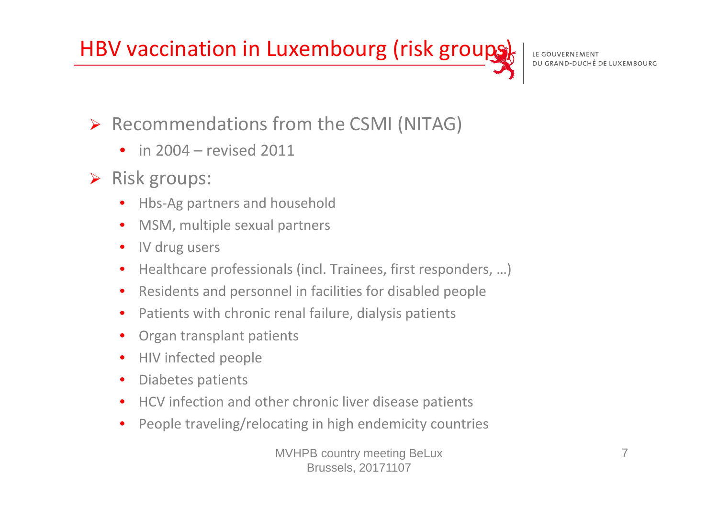## HBV vaccination in Luxembourg (risk groups)

#### Recommendations from the CSMI (NITAG)

- in 2004 revised 2011
- $\triangleright$  Risk groups:
	- •Hbs‐Ag partners and household
	- •MSM, multiple sexual partners
	- •· IV drug users
	- •Healthcare professionals (incl. Trainees, first responders, …)
	- •Residents and personnel in facilities for disabled people
	- •• Patients with chronic renal failure, dialysis patients
	- •Organ transplant patients
	- $\bullet$ • HIV infected people
	- •Diabetes patients
	- •**•** HCV infection and other chronic liver disease patients
	- •People traveling/relocating in high endemicity countries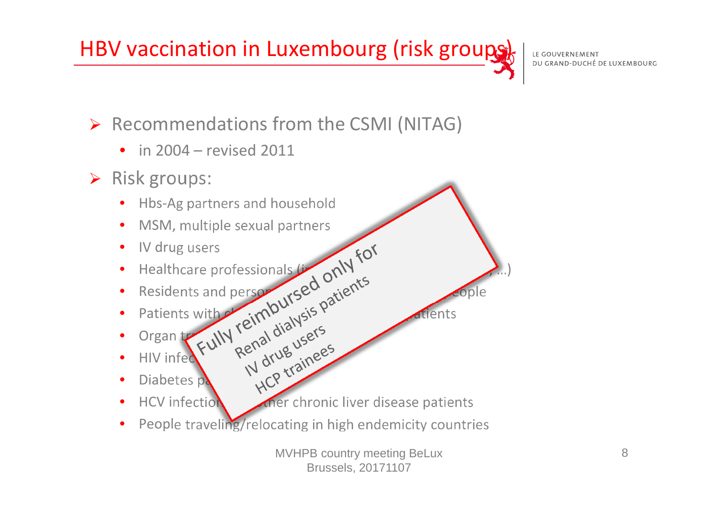## HBV vaccination in Luxembourg (risk groups)

LE GOUVERNEMENT DU GRAND-DUCHÉ DE LUXEMBOURG

- Recommendations from the CSMI (NITAG)
	- in 2004 revised 2011
- > Risk groups:
	- •Hbs‐Ag partners and household
	- •MSM, multiple sexual partners
	- •· IV drug users
	- •Healthcare professionals  $\mu$ e professionals  $\mu_{\text{on}}(N)$ Residents and personal Lines Communist<br>Patients with reimpoursed only<br>Organ the Eully reimpoursies patients
	- •d person  $r_S e^{u}$  in fact the disability of disability of  $e^{u}$
	- •Patients with s with  $\alpha'$  in  $\alpha'$  is  $\beta$  factors attents
	- • $\bullet$  Organ transplants and  $\delta^{(0)}$ .
	- •**HIV** infer V infect  $p^{\circ}$
	- •Liv Infed Kun Renal diamees
	- •**HCV** infection ther chronic liver disease patients
	- •People traveling/relocating in high endemicity countries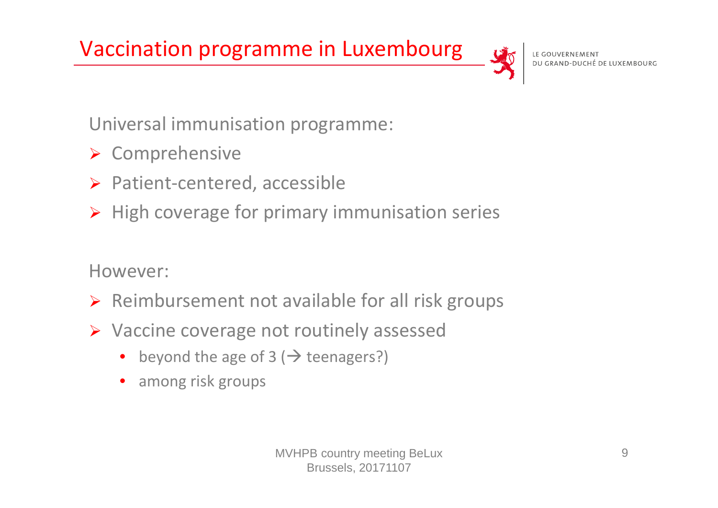Vaccination programme in Luxembourg



LE GOUVERNEMENT DU GRAND-DUCHÉ DE LUXEMBOURG

Universal immunisation programme:

- **► Comprehensive**
- ▶ Patient-centered, accessible
- $\triangleright$  High coverage for primary immunisation series

However:

- $\triangleright$  Reimbursement not available for all risk groups
- **► Vaccine coverage not routinely assessed** 
	- $\bullet$ beyond the age of 3 ( $\rightarrow$  teenagers?)
	- •among risk groups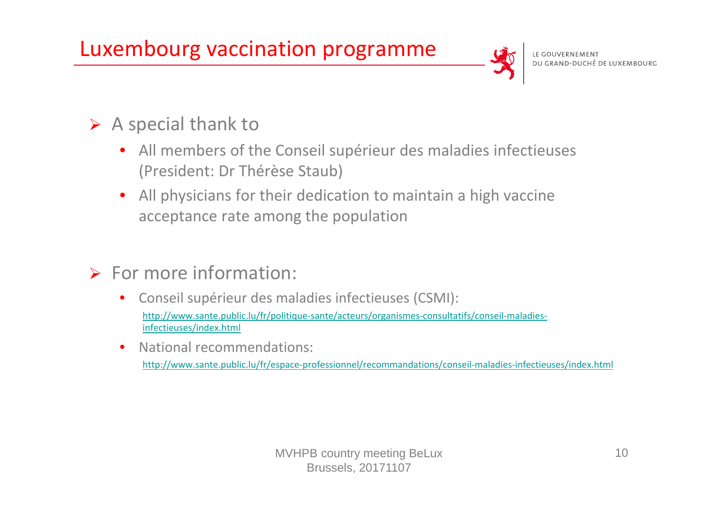### Luxembourg vaccination programme



#### $\triangleright$  A special thank to

- All members of the Conseil supérieur des maladies infectieuses (President: Dr Thérèse Staub)
- • All physicians for their dedication to maintain <sup>a</sup> high vaccine acceptance rate among the population

#### $\triangleright$  For more information:

- • Conseil supérieur des maladies infectieuses (CSMI): http://www.sante.public.lu/fr/politique-sante/acteurs/organismes-consultatifs/conseil-maladiesinfectieuses/index.html
- •National recommendations:

http://www.sante.public.lu/fr/espace‐professionnel/recommandations/conseil‐maladies‐infectieuses/index.html